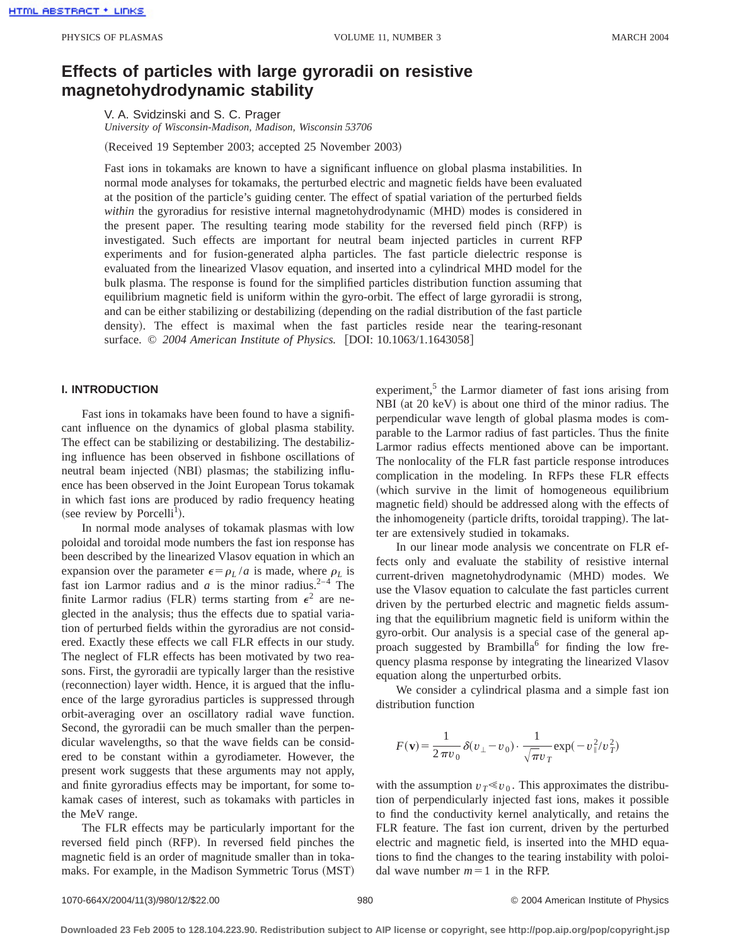# **Effects of particles with large gyroradii on resistive magnetohydrodynamic stability**

V. A. Svidzinski and S. C. Prager *University of Wisconsin-Madison, Madison, Wisconsin 53706*

(Received 19 September 2003; accepted 25 November 2003)

Fast ions in tokamaks are known to have a significant influence on global plasma instabilities. In normal mode analyses for tokamaks, the perturbed electric and magnetic fields have been evaluated at the position of the particle's guiding center. The effect of spatial variation of the perturbed fields *within* the gyroradius for resistive internal magnetohydrodynamic (MHD) modes is considered in the present paper. The resulting tearing mode stability for the reversed field pinch (RFP) is investigated. Such effects are important for neutral beam injected particles in current RFP experiments and for fusion-generated alpha particles. The fast particle dielectric response is evaluated from the linearized Vlasov equation, and inserted into a cylindrical MHD model for the bulk plasma. The response is found for the simplified particles distribution function assuming that equilibrium magnetic field is uniform within the gyro-orbit. The effect of large gyroradii is strong, and can be either stabilizing or destabilizing (depending on the radial distribution of the fast particle density). The effect is maximal when the fast particles reside near the tearing-resonant surface. © 2004 American Institute of Physics. [DOI: 10.1063/1.1643058]

### **I. INTRODUCTION**

Fast ions in tokamaks have been found to have a significant influence on the dynamics of global plasma stability. The effect can be stabilizing or destabilizing. The destabilizing influence has been observed in fishbone oscillations of neutral beam injected (NBI) plasmas; the stabilizing influence has been observed in the Joint European Torus tokamak in which fast ions are produced by radio frequency heating (see review by Porcelli<sup>1</sup>).

In normal mode analyses of tokamak plasmas with low poloidal and toroidal mode numbers the fast ion response has been described by the linearized Vlasov equation in which an expansion over the parameter  $\epsilon = \rho_L / a$  is made, where  $\rho_L$  is fast ion Larmor radius and *a* is the minor radius.<sup>2-4</sup> The finite Larmor radius (FLR) terms starting from  $\epsilon^2$  are neglected in the analysis; thus the effects due to spatial variation of perturbed fields within the gyroradius are not considered. Exactly these effects we call FLR effects in our study. The neglect of FLR effects has been motivated by two reasons. First, the gyroradii are typically larger than the resistive (reconnection) layer width. Hence, it is argued that the influence of the large gyroradius particles is suppressed through orbit-averaging over an oscillatory radial wave function. Second, the gyroradii can be much smaller than the perpendicular wavelengths, so that the wave fields can be considered to be constant within a gyrodiameter. However, the present work suggests that these arguments may not apply, and finite gyroradius effects may be important, for some tokamak cases of interest, such as tokamaks with particles in the MeV range.

The FLR effects may be particularly important for the reversed field pinch (RFP). In reversed field pinches the magnetic field is an order of magnitude smaller than in tokamaks. For example, in the Madison Symmetric Torus (MST) experiment, $<sup>5</sup>$  the Larmor diameter of fast ions arising from</sup>  $NBI$  (at 20 keV) is about one third of the minor radius. The perpendicular wave length of global plasma modes is comparable to the Larmor radius of fast particles. Thus the finite Larmor radius effects mentioned above can be important. The nonlocality of the FLR fast particle response introduces complication in the modeling. In RFPs these FLR effects (which survive in the limit of homogeneous equilibrium magnetic field) should be addressed along with the effects of the inhomogeneity (particle drifts, toroidal trapping). The latter are extensively studied in tokamaks.

In our linear mode analysis we concentrate on FLR effects only and evaluate the stability of resistive internal current-driven magnetohydrodynamic (MHD) modes. We use the Vlasov equation to calculate the fast particles current driven by the perturbed electric and magnetic fields assuming that the equilibrium magnetic field is uniform within the gyro-orbit. Our analysis is a special case of the general approach suggested by Brambilla<sup>6</sup> for finding the low frequency plasma response by integrating the linearized Vlasov equation along the unperturbed orbits.

We consider a cylindrical plasma and a simple fast ion distribution function

$$
F(\mathbf{v}) = \frac{1}{2 \pi v_0} \delta(v_\perp - v_0) \cdot \frac{1}{\sqrt{\pi} v_T} \exp(-v_\parallel^2/v_T^2)
$$

with the assumption  $v_T \ll v_0$ . This approximates the distribution of perpendicularly injected fast ions, makes it possible to find the conductivity kernel analytically, and retains the FLR feature. The fast ion current, driven by the perturbed electric and magnetic field, is inserted into the MHD equations to find the changes to the tearing instability with poloidal wave number  $m=1$  in the RFP.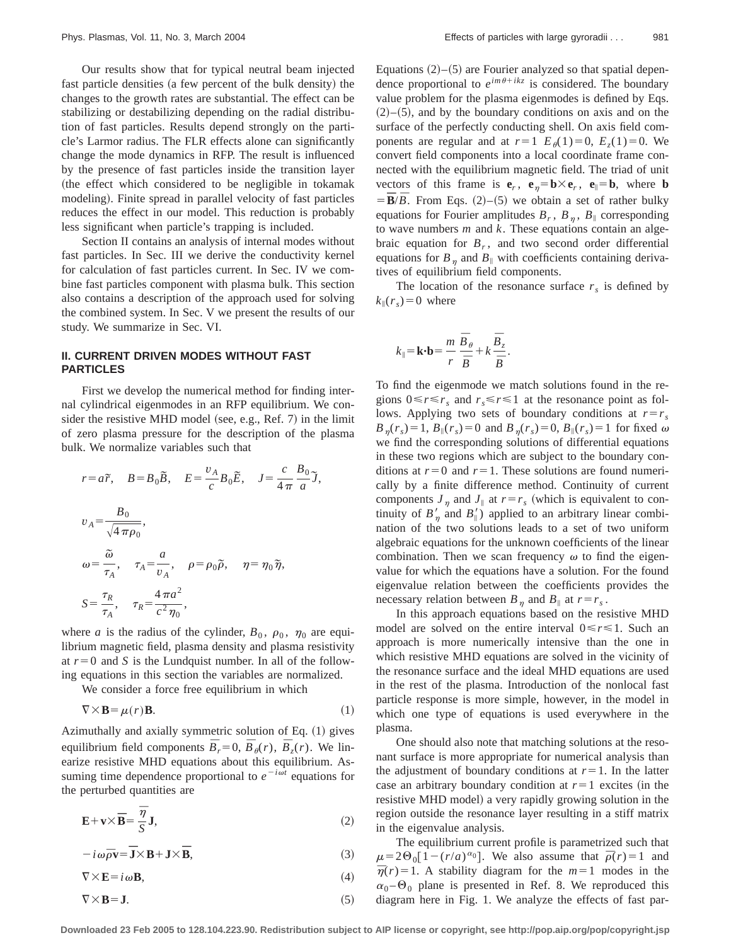Our results show that for typical neutral beam injected fast particle densities (a few percent of the bulk density) the changes to the growth rates are substantial. The effect can be stabilizing or destabilizing depending on the radial distribution of fast particles. Results depend strongly on the particle's Larmor radius. The FLR effects alone can significantly change the mode dynamics in RFP. The result is influenced by the presence of fast particles inside the transition layer (the effect which considered to be negligible in tokamak modeling). Finite spread in parallel velocity of fast particles reduces the effect in our model. This reduction is probably less significant when particle's trapping is included.

Section II contains an analysis of internal modes without fast particles. In Sec. III we derive the conductivity kernel for calculation of fast particles current. In Sec. IV we combine fast particles component with plasma bulk. This section also contains a description of the approach used for solving the combined system. In Sec. V we present the results of our study. We summarize in Sec. VI.

#### **II. CURRENT DRIVEN MODES WITHOUT FAST PARTICLES**

First we develop the numerical method for finding internal cylindrical eigenmodes in an RFP equilibrium. We consider the resistive MHD model (see, e.g., Ref.  $7$ ) in the limit of zero plasma pressure for the description of the plasma bulk. We normalize variables such that

$$
r = a\tilde{r}, \quad B = B_0 \tilde{B}, \quad E = \frac{v_A}{c} B_0 \tilde{E}, \quad J = \frac{c}{4\pi} \frac{B_0}{a} \tilde{J},
$$
  

$$
v_A = \frac{B_0}{\sqrt{4\pi \rho_0}},
$$
  

$$
\omega = \frac{\tilde{\omega}}{\tau_A}, \quad \tau_A = \frac{a}{v_A}, \quad \rho = \rho_0 \tilde{\rho}, \quad \eta = \eta_0 \tilde{\eta},
$$
  

$$
S = \frac{\tau_R}{\tau_A}, \quad \tau_R = \frac{4\pi a^2}{c^2 \eta_0},
$$

where *a* is the radius of the cylinder,  $B_0$ ,  $\rho_0$ ,  $\eta_0$  are equilibrium magnetic field, plasma density and plasma resistivity at  $r=0$  and *S* is the Lundquist number. In all of the following equations in this section the variables are normalized.

We consider a force free equilibrium in which

$$
\nabla \times \mathbf{B} = \mu(r) \mathbf{B}.
$$
 (1)

Azimuthally and axially symmetric solution of Eq.  $(1)$  gives equilibrium field components  $\overline{B}_r = 0$ ,  $\overline{B}_\theta(r)$ ,  $\overline{B}_z(r)$ . We linearize resistive MHD equations about this equilibrium. Assuming time dependence proportional to  $e^{-i\omega t}$  equations for the perturbed quantities are

$$
\mathbf{E} + \mathbf{v} \times \mathbf{\bar{B}} = \frac{\overline{\eta}}{S} \mathbf{J},\tag{2}
$$

 $-i\omega\bar{\rho}\mathbf{v} = \mathbf{\bar{J}} \times \mathbf{B} + \mathbf{J} \times \mathbf{\bar{B}},$  (3)

$$
\nabla \times \mathbf{E} = i \,\omega \mathbf{B},\tag{4}
$$

$$
\nabla \times \mathbf{B} = \mathbf{J}.\tag{5}
$$

Equations  $(2)$ – $(5)$  are Fourier analyzed so that spatial dependence proportional to  $e^{im\theta + ikz}$  is considered. The boundary value problem for the plasma eigenmodes is defined by Eqs.  $(2)$ – $(5)$ , and by the boundary conditions on axis and on the surface of the perfectly conducting shell. On axis field components are regular and at  $r=1$   $E_{\theta}(1)=0$ ,  $E_{z}(1)=0$ . We convert field components into a local coordinate frame connected with the equilibrium magnetic field. The triad of unit vectors of this frame is  $e_r$ ,  $e_n = b \times e_r$ ,  $e_{\parallel} = b$ , where **b**  $= \overline{\mathbf{B}}/\overline{B}$ . From Eqs. (2)–(5) we obtain a set of rather bulky equations for Fourier amplitudes  $B_r$ ,  $B_n$ ,  $B_{\parallel}$  corresponding to wave numbers *m* and *k*. These equations contain an algebraic equation for  $B_r$ , and two second order differential equations for  $B_n$  and  $B_{\parallel}$  with coefficients containing derivatives of equilibrium field components.

The location of the resonance surface  $r<sub>s</sub>$  is defined by  $k_{\parallel}(r_s) = 0$  where

$$
k_{\parallel} = \mathbf{k} \cdot \mathbf{b} = \frac{m}{r} \frac{\overline{B}_{\theta}}{\overline{B}} + k \frac{\overline{B}_{z}}{\overline{B}}.
$$

To find the eigenmode we match solutions found in the regions  $0 \le r \le r_s$  and  $r_s \le r \le 1$  at the resonance point as follows. Applying two sets of boundary conditions at  $r=r_s$  $B_n(r_s) = 1$ ,  $B_{\parallel}(r_s) = 0$  and  $B_n(r_s) = 0$ ,  $B_{\parallel}(r_s) = 1$  for fixed  $\omega$ we find the corresponding solutions of differential equations in these two regions which are subject to the boundary conditions at  $r=0$  and  $r=1$ . These solutions are found numerically by a finite difference method. Continuity of current components  $J_n$  and  $J_{\parallel}$  at  $r=r_s$  (which is equivalent to continuity of  $B'_\eta$  and  $B'_\parallel$ ) applied to an arbitrary linear combination of the two solutions leads to a set of two uniform algebraic equations for the unknown coefficients of the linear combination. Then we scan frequency  $\omega$  to find the eigenvalue for which the equations have a solution. For the found eigenvalue relation between the coefficients provides the necessary relation between  $B_n$  and  $B_{\parallel}$  at  $r=r_s$ .

In this approach equations based on the resistive MHD model are solved on the entire interval  $0 \le r \le 1$ . Such an approach is more numerically intensive than the one in which resistive MHD equations are solved in the vicinity of the resonance surface and the ideal MHD equations are used in the rest of the plasma. Introduction of the nonlocal fast particle response is more simple, however, in the model in which one type of equations is used everywhere in the plasma.

One should also note that matching solutions at the resonant surface is more appropriate for numerical analysis than the adjustment of boundary conditions at  $r=1$ . In the latter case an arbitrary boundary condition at  $r=1$  excites (in the resistive MHD model) a very rapidly growing solution in the region outside the resonance layer resulting in a stiff matrix in the eigenvalue analysis.

The equilibrium current profile is parametrized such that  $\mu=2\Theta_0[1-(r/a)^{\alpha_0}]$ . We also assume that  $\bar{\rho}(r)=1$  and  $\overline{\eta}(r) = 1$ . A stability diagram for the  $m=1$  modes in the  $\alpha_0$  –  $\Theta_0$  plane is presented in Ref. 8. We reproduced this diagram here in Fig. 1. We analyze the effects of fast par-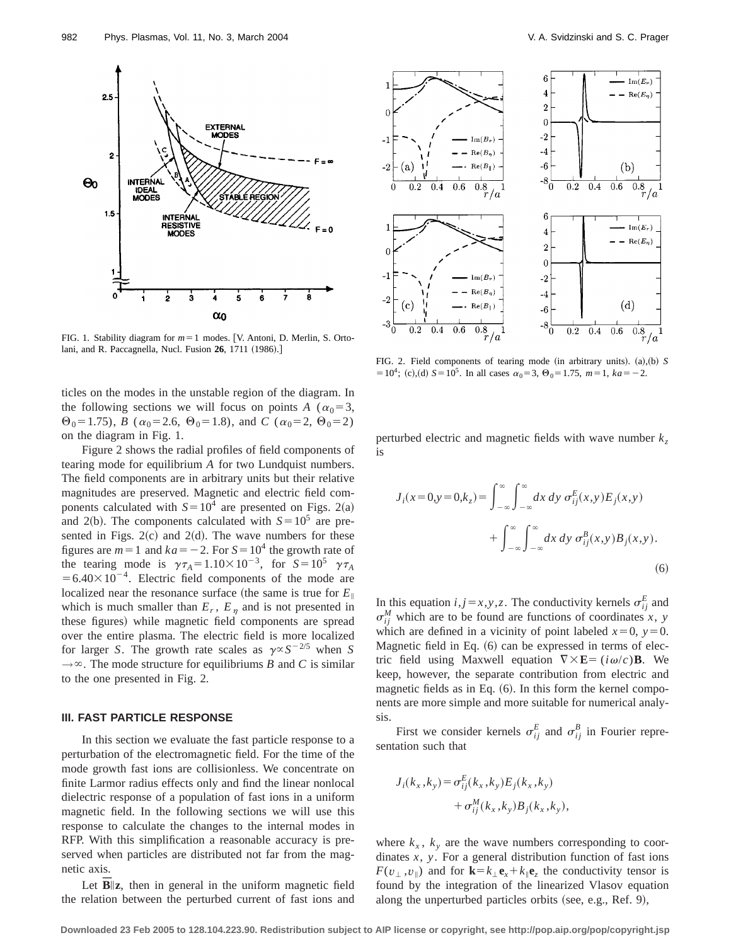**Downloaded 23 Feb 2005 to 128.104.223.90. Redistribution subject to AIP license or copyright, see http://pop.aip.org/pop/copyright.jsp**

**INTERNAL** RESISTIVE

**MODES** 

2

 $1.5$ 



 $\alpha_0$ 

ticles on the modes in the unstable region of the diagram. In the following sections we will focus on points *A* ( $\alpha_0$ =3,  $\Theta_0$ =1.75), *B* ( $\alpha_0$ =2.6,  $\Theta_0$ =1.8), and *C* ( $\alpha_0$ =2,  $\Theta_0$ =2) on the diagram in Fig. 1.

Figure 2 shows the radial profiles of field components of tearing mode for equilibrium *A* for two Lundquist numbers. The field components are in arbitrary units but their relative magnitudes are preserved. Magnetic and electric field components calculated with  $S=10^4$  are presented on Figs. 2(a) and 2(b). The components calculated with  $S=10^5$  are presented in Figs.  $2(c)$  and  $2(d)$ . The wave numbers for these figures are  $m=1$  and  $ka=-2$ . For  $S=10^4$  the growth rate of the tearing mode is  $\gamma \tau_A = 1.10 \times 10^{-3}$ , for  $S = 10^5$   $\gamma \tau_A$  $=6.40\times10^{-4}$ . Electric field components of the mode are localized near the resonance surface (the same is true for  $E_{\parallel}$ ) which is much smaller than  $E_r$ ,  $E_\eta$  and is not presented in these figures) while magnetic field components are spread over the entire plasma. The electric field is more localized for larger *S*. The growth rate scales as  $\gamma \propto S^{-2/5}$  when *S*  $\rightarrow \infty$ . The mode structure for equilibriums *B* and *C* is similar to the one presented in Fig. 2.

#### **III. FAST PARTICLE RESPONSE**

In this section we evaluate the fast particle response to a perturbation of the electromagnetic field. For the time of the mode growth fast ions are collisionless. We concentrate on finite Larmor radius effects only and find the linear nonlocal dielectric response of a population of fast ions in a uniform magnetic field. In the following sections we will use this response to calculate the changes to the internal modes in RFP. With this simplification a reasonable accuracy is preserved when particles are distributed not far from the magnetic axis.

Let  $B\|z$ , then in general in the uniform magnetic field the relation between the perturbed current of fast ions and FIG. 2. Field components of tearing mode (in arbitrary units).  $(a)$ ,  $(b)$  *S*  $= 10^4$ ; (c),(d)  $S = 10^5$ . In all cases  $\alpha_0 = 3$ ,  $\Theta_0 = 1.75$ ,  $m = 1$ ,  $ka = -2$ .

perturbed electric and magnetic fields with wave number  $k<sub>z</sub>$ is

$$
J_i(x=0,y=0,k_z) = \int_{-\infty}^{\infty} \int_{-\infty}^{\infty} dx \, dy \, \sigma_{ij}^E(x,y) E_j(x,y)
$$

$$
+ \int_{-\infty}^{\infty} \int_{-\infty}^{\infty} dx \, dy \, \sigma_{ij}^B(x,y) B_j(x,y).
$$
(6)

In this equation  $i, j = x, y, z$ . The conductivity kernels  $\sigma_{ij}^E$  and  $\sigma_{ij}^M$  which are to be found are functions of coordinates *x*, *y* which are defined in a vicinity of point labeled  $x=0$ ,  $y=0$ . Magnetic field in Eq.  $(6)$  can be expressed in terms of electric field using Maxwell equation  $\nabla \times \mathbf{E} = (i\omega/c)\mathbf{B}$ . We keep, however, the separate contribution from electric and magnetic fields as in Eq.  $(6)$ . In this form the kernel components are more simple and more suitable for numerical analysis.

First we consider kernels  $\sigma_{ij}^E$  and  $\sigma_{ij}^B$  in Fourier representation such that

$$
J_i(k_x, k_y) = \sigma_{ij}^E(k_x, k_y) E_j(k_x, k_y)
$$
  
+ 
$$
\sigma_{ij}^M(k_x, k_y) B_j(k_x, k_y),
$$

where  $k_x$ ,  $k_y$  are the wave numbers corresponding to coordinates *x*, *y*. For a general distribution function of fast ions  $F(v_{\perp}, v_{\parallel})$  and for  $\mathbf{k} = k_{\perp} \mathbf{e}_x + k_{\parallel} \mathbf{e}_z$  the conductivity tensor is found by the integration of the linearized Vlasov equation along the unperturbed particles orbits (see, e.g., Ref. 9),



 $0.4$  $0.6$  $0.8$ 

 $0.4\,$  $0.6\,$ 

 $\overline{2}$  $\Omega$ 

 $- \operatorname{Im}(E_r)$  $-$  Re( $E_{\eta}$ )

 $(b)$ 

 $\text{Im}(E_r)$ 

 $- - \text{Re}(E_{\eta})$ 

 $(d)$ 

 $0.8$ 

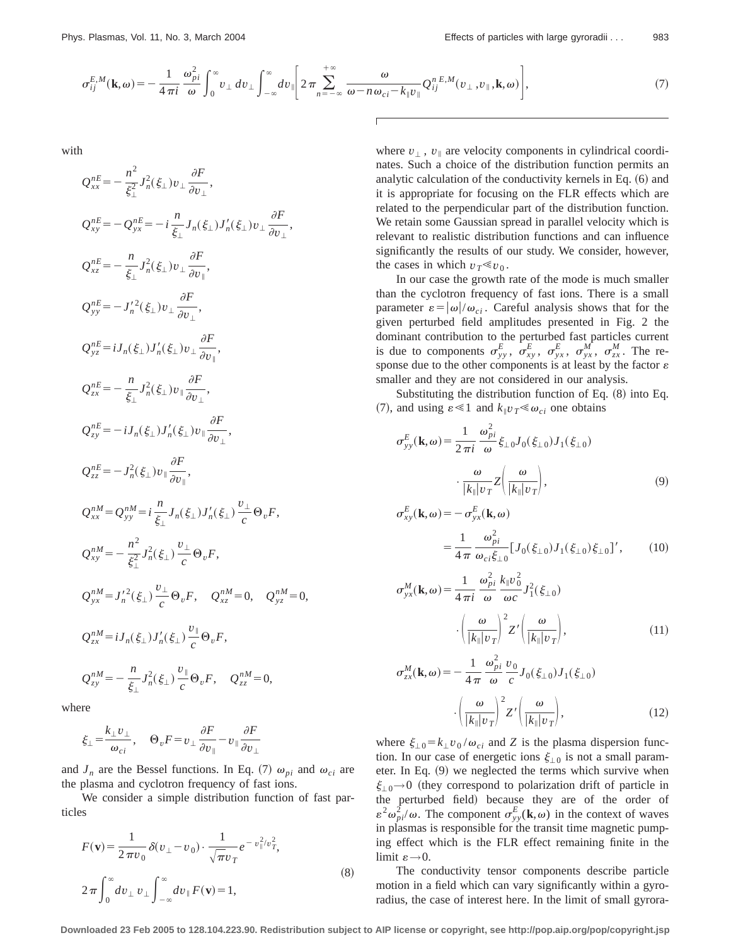$$
\sigma_{ij}^{E,M}(\mathbf{k},\omega) = -\frac{1}{4\pi i} \frac{\omega_{pi}^2}{\omega} \int_0^\infty v_\perp dv_\perp \int_{-\infty}^\infty dv_\parallel \left[ 2\pi \sum_{n=-\infty}^{+\infty} \frac{\omega}{\omega - n\omega_{ci} - k_{\parallel}v_{\parallel}} Q_{ij}^{n\,E,M}(v_\perp, v_\parallel, \mathbf{k}, \omega) \right],\tag{7}
$$

with

$$
Q_{xx}^{nE} = -\frac{n^2}{\xi_{\perp}^2} J_n^2(\xi_{\perp}) v_{\perp} \frac{\partial F}{\partial v_{\perp}},
$$
  
\n
$$
Q_{xy}^{nE} = -Q_{yx}^{nE} = -i \frac{n}{\xi_{\perp}} J_n(\xi_{\perp}) J'_n(\xi_{\perp}) v_{\perp} \frac{\partial F}{\partial v_{\perp}},
$$
  
\n
$$
Q_{xz}^{nE} = -\frac{n}{\xi_{\perp}} J_n^2(\xi_{\perp}) v_{\perp} \frac{\partial F}{\partial v_{\perp}},
$$
  
\n
$$
Q_{yz}^{nE} = i J_n(\xi_{\perp}) J'_n(\xi_{\perp}) v_{\perp} \frac{\partial F}{\partial v_{\perp}},
$$
  
\n
$$
Q_{zx}^{nE} = -\frac{n}{\xi_{\perp}} J_n^2(\xi_{\perp}) v_{\parallel} \frac{\partial F}{\partial v_{\perp}},
$$
  
\n
$$
Q_{zx}^{nE} = -i J_n(\xi_{\perp}) J'_n(\xi_{\perp}) v_{\parallel} \frac{\partial F}{\partial v_{\perp}},
$$
  
\n
$$
Q_{zz}^{nE} = -J_n^2(\xi_{\perp}) v_{\parallel} \frac{\partial F}{\partial v_{\parallel}},
$$
  
\n
$$
Q_{xz}^{nE} = -J_n^2(\xi_{\perp}) v_{\parallel} \frac{\partial F}{\partial v_{\parallel}},
$$
  
\n
$$
Q_{xx}^{nM} = Q_{yy}^{nM} = i \frac{n}{\xi_{\perp}} J_n(\xi_{\perp}) J'_n(\xi_{\perp}) \frac{v_{\perp}}{c} \Theta_v F,
$$
  
\n
$$
Q_{yx}^{nM} = J'_n^2(\xi_{\perp}) \frac{v_{\perp}}{c} \Theta_v F, \quad Q_{xz}^{nM} = 0, \quad Q_{yz}^{nM} = 0,
$$
  
\n
$$
Q_{zx}^{nM} = i J_n(\xi_{\perp}) J'_n(\xi_{\perp}) \frac{v_{\parallel}}{c} \Theta_v F, \quad Q_{zz}^{nM} = 0,
$$
  
\n
$$
Q_{zx}^{nM} = i J_n(\xi_{\perp}) J'_n(\xi_{\perp}) \frac{
$$

where

$$
\xi_{\perp} = \frac{k_{\perp}v_{\perp}}{\omega_{ci}}, \quad \Theta_v F = v_{\perp} \frac{\partial F}{\partial v_{\parallel}} - v_{\parallel} \frac{\partial F}{\partial v_{\perp}}
$$

and  $J_n$  are the Bessel functions. In Eq. (7)  $\omega_{pi}$  and  $\omega_{ci}$  are the plasma and cyclotron frequency of fast ions.

We consider a simple distribution function of fast particles

$$
F(\mathbf{v}) = \frac{1}{2\pi v_0} \delta(v_\perp - v_0) \cdot \frac{1}{\sqrt{\pi v_T}} e^{-v_\parallel^2/v_T^2},
$$
  

$$
2\pi \int_0^\infty dv_\perp v_\perp \int_{-\infty}^\infty dv_\parallel F(\mathbf{v}) = 1,
$$
 (8)

where  $v_{\perp}$ ,  $v_{\parallel}$  are velocity components in cylindrical coordinates. Such a choice of the distribution function permits an analytic calculation of the conductivity kernels in Eq.  $(6)$  and it is appropriate for focusing on the FLR effects which are related to the perpendicular part of the distribution function. We retain some Gaussian spread in parallel velocity which is relevant to realistic distribution functions and can influence significantly the results of our study. We consider, however, the cases in which  $v_T \ll v_0$ .

In our case the growth rate of the mode is much smaller than the cyclotron frequency of fast ions. There is a small parameter  $\varepsilon = |\omega|/\omega_{ci}$ . Careful analysis shows that for the given perturbed field amplitudes presented in Fig. 2 the dominant contribution to the perturbed fast particles current is due to components  $\sigma_{yy}^E$ ,  $\sigma_{xy}^E$ ,  $\sigma_{yx}^E$ ,  $\sigma_{yx}^M$ ,  $\sigma_{zx}^M$ . The response due to the other components is at least by the factor  $\varepsilon$ smaller and they are not considered in our analysis.

Substituting the distribution function of Eq.  $(8)$  into Eq. (7), and using  $\varepsilon \ll 1$  and  $k_{\parallel}v_T \ll \omega_{ci}$  one obtains

$$
\sigma_{yy}^{E}(\mathbf{k}, \omega) = \frac{1}{2 \pi i} \frac{\omega_{pi}^{2}}{\omega} \xi_{\perp 0} J_{0}(\xi_{\perp 0}) J_{1}(\xi_{\perp 0})
$$

$$
\cdot \frac{\omega}{|k_{\parallel}| v_{T}} Z\left(\frac{\omega}{|k_{\parallel}| v_{T}}\right), \tag{9}
$$

$$
\sigma_{xy}^{E}(\mathbf{k},\omega) = -\sigma_{yx}^{E}(\mathbf{k},\omega)
$$
  
= 
$$
\frac{1}{4\pi} \frac{\omega_{pi}^{2}}{\omega_{ci}\xi_{\perp 0}} [J_{0}(\xi_{\perp 0})J_{1}(\xi_{\perp 0})\xi_{\perp 0}]',
$$
 (10)

$$
\sigma_{yx}^M(\mathbf{k}, \omega) = \frac{1}{4 \pi i} \frac{\omega_{pi}^2}{\omega} \frac{k_{\parallel} v_0^2}{\omega c} J_1^2(\xi_{\perp 0})
$$

$$
\left(\frac{\omega}{|k_{\parallel}|v_T}\right)^2 Z' \left(\frac{\omega}{|k_{\parallel}|v_T}\right), \tag{11}
$$

$$
\sigma_{zx}^M(\mathbf{k}, \omega) = -\frac{1}{4\pi} \frac{\omega_{pi}^2}{\omega} \frac{v_0}{c} J_0(\xi_{\perp 0}) J_1(\xi_{\perp 0})
$$

$$
\cdot \left(\frac{\omega}{|k_{\parallel}|v_T}\right)^2 Z' \left(\frac{\omega}{|k_{\parallel}|v_T}\right), \tag{12}
$$

where  $\xi_{\perp 0} = k_{\perp} v_0 / \omega_{ci}$  and *Z* is the plasma dispersion function. In our case of energetic ions  $\xi_{\perp 0}$  is not a small parameter. In Eq.  $(9)$  we neglected the terms which survive when  $\xi_{\perp 0} \rightarrow 0$  (they correspond to polarization drift of particle in the perturbed field) because they are of the order of  $\varepsilon^2 \omega_{pi}^2/\omega$ . The component  $\sigma_{yy}^E(\mathbf{k},\omega)$  in the context of waves in plasmas is responsible for the transit time magnetic pumping effect which is the FLR effect remaining finite in the limit  $\varepsilon \rightarrow 0$ .

The conductivity tensor components describe particle motion in a field which can vary significantly within a gyroradius, the case of interest here. In the limit of small gyrora-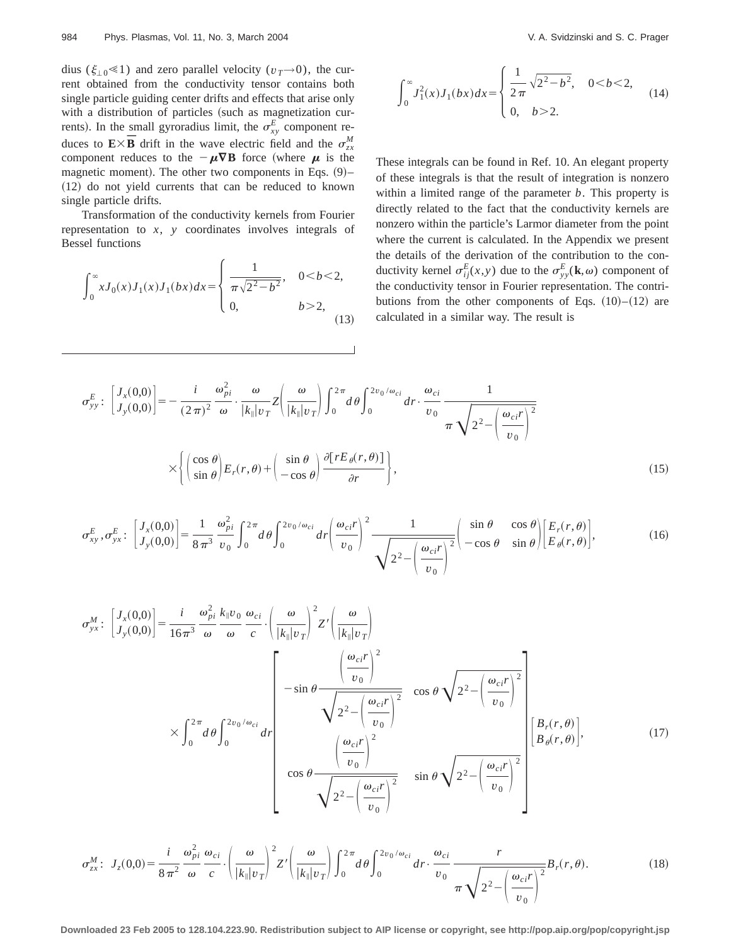dius ( $\xi_{\perp 0} \ll 1$ ) and zero parallel velocity ( $v_T \rightarrow 0$ ), the current obtained from the conductivity tensor contains both single particle guiding center drifts and effects that arise only with a distribution of particles (such as magnetization currents). In the small gyroradius limit, the  $\sigma_{xy}^E$  component reduces to  $\mathbf{E} \times \mathbf{\bar{B}}$  drift in the wave electric field and the  $\sigma_{zx}^M$ component reduces to the  $-\mu \nabla B$  force (where  $\mu$  is the magnetic moment). The other two components in Eqs.  $(9)$ –  $(12)$  do not yield currents that can be reduced to known single particle drifts.

Transformation of the conductivity kernels from Fourier representation to *x*, *y* coordinates involves integrals of Bessel functions

$$
\int_0^\infty x J_0(x) J_1(x) J_1(bx) dx = \begin{cases} \frac{1}{\pi \sqrt{2^2 - b^2}}, & 0 < b < 2, \\ 0, & b > 2, \end{cases}
$$
(13)

$$
\int_0^\infty J_1^2(x) J_1(bx) dx = \begin{cases} \frac{1}{2\pi} \sqrt{2^2 - b^2}, & 0 < b < 2, \\ 0, & b > 2. \end{cases}
$$
 (14)

These integrals can be found in Ref. 10. An elegant property of these integrals is that the result of integration is nonzero within a limited range of the parameter *b*. This property is directly related to the fact that the conductivity kernels are nonzero within the particle's Larmor diameter from the point where the current is calculated. In the Appendix we present the details of the derivation of the contribution to the conductivity kernel  $\sigma_{ij}^E(x, y)$  due to the  $\sigma_{yy}^E(\mathbf{k}, \omega)$  component of the conductivity tensor in Fourier representation. The contributions from the other components of Eqs.  $(10)$ – $(12)$  are calculated in a similar way. The result is

$$
\sigma_{yy}^{E} : \left[ J_x(0,0) \right] = -\frac{i}{(2\pi)^2} \frac{\omega_{pi}^2}{\omega} \cdot \frac{\omega}{|k_{\parallel}|v_T} Z \left( \frac{\omega}{|k_{\parallel}|v_T} \right) \int_0^{2\pi} d\theta \int_0^{2v_0/\omega_{ci}} dr \cdot \frac{\omega_{ci}}{v_0} \frac{1}{\pi \sqrt{2^2 - \left( \frac{\omega_{ci}r}{v_0} \right)^2}}
$$

$$
\times \left\{ \left( \frac{\cos \theta}{\sin \theta} \right) E_r(r,\theta) + \left( \frac{\sin \theta}{-\cos \theta} \right) \frac{\partial [rE_{\theta}(r,\theta)]}{\partial r} \right\},
$$
(15)

$$
\sigma_{xy}^{E}, \sigma_{yx}^{E}: \begin{bmatrix} J_x(0,0) \\ J_y(0,0) \end{bmatrix} = \frac{1}{8\pi^3} \frac{\omega_{pi}^2}{v_0} \int_0^{2\pi} d\theta \int_0^{2v_0/\omega_{ci}} dr \left(\frac{\omega_{ci}r}{v_0}\right)^2 \frac{1}{\sqrt{2^2 - \left(\frac{\omega_{ci}r}{v_0}\right)^2}} \left(\frac{\sin\theta}{-\cos\theta} \frac{\cos\theta}{\sin\theta} \Big| \begin{bmatrix} E_r(r,\theta) \\ E_\theta(r,\theta) \end{bmatrix},\right)
$$
(16)

$$
\sigma_{yx}^{M}: \begin{bmatrix} J_{x}(0,0) \\ J_{y}(0,0) \end{bmatrix} = \frac{i}{16\pi^{3}} \frac{\omega_{pi}^{2}}{\omega} \frac{k_{\parallel}v_{0}}{\omega} \frac{\omega_{ci}}{\omega} \cdot \left(\frac{\omega}{|k_{\parallel}|v_{T}}\right)^{2} Z' \left(\frac{\omega}{|k_{\parallel}|v_{T}}\right)
$$

$$
\times \int_{0}^{2\pi} d\theta \int_{0}^{2v_{0}/\omega_{ci}} dr \begin{bmatrix} \frac{\omega_{ci}r}{v_{0}}^{2} \\ -\sin\theta \frac{\omega_{ci}r}{\sqrt{2^{2}-\left(\frac{\omega_{ci}r}{v_{0}}\right)^{2}}} \\ \frac{\omega_{ci}r}{\sqrt{2^{2}-\left(\frac{\omega_{ci}r}{v_{0}}\right)^{2}}} \\ \cos\theta \frac{\omega_{ci}r}{\sqrt{2^{2}-\left(\frac{\omega_{ci}r}{v_{0}}\right)^{2}}} \sin\theta \sqrt{2^{2}-\left(\frac{\omega_{ci}r}{v_{0}}\right)^{2}} \end{bmatrix} \begin{bmatrix} B_{r}(r,\theta) \\ B_{\theta}(r,\theta) \end{bmatrix}, \qquad (17)
$$

$$
\sigma_{zx}^M: J_z(0,0) = \frac{i}{8\pi^2} \frac{\omega_{pi}^2}{\omega} \frac{\omega_{ci}}{c} \cdot \left(\frac{\omega}{|k_{\parallel}v_T|}\right)^2 Z' \left(\frac{\omega}{|k_{\parallel}v_T|}\right) \int_0^{2\pi} d\theta \int_0^{2v_0/\omega_{ci}} dr \cdot \frac{\omega_{ci}}{v_0} \frac{r}{\pi \sqrt{2^2 - \left(\frac{\omega_{ci}r}{v_0}\right)^2}} B_r(r,\theta). \tag{18}
$$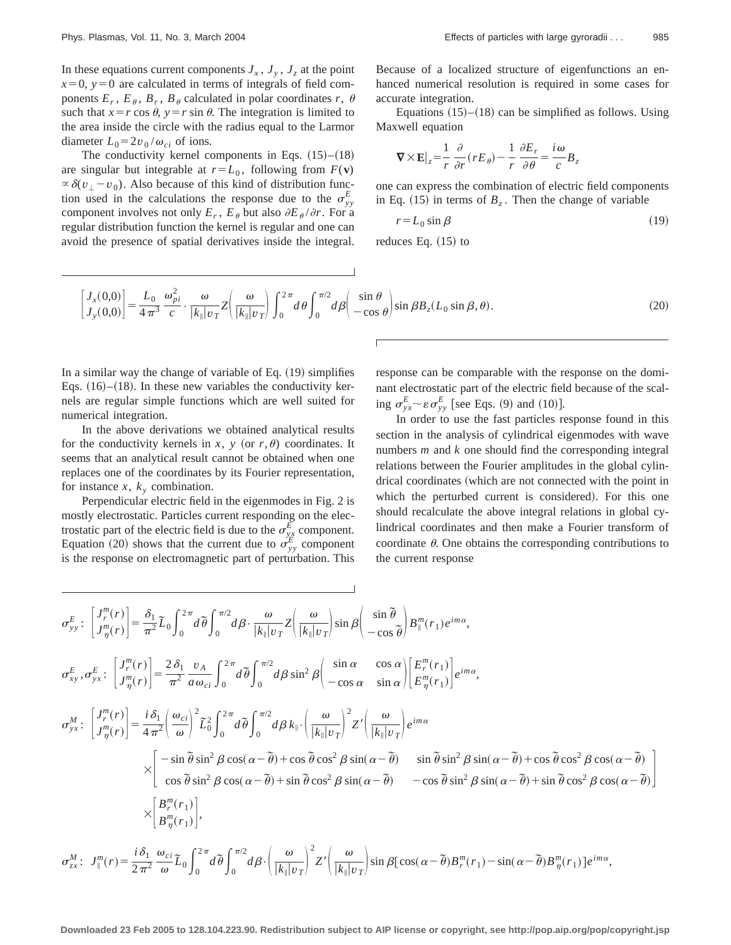In these equations current components  $J_x$ ,  $J_y$ ,  $J_z$  at the point  $x=0$ ,  $y=0$  are calculated in terms of integrals of field components  $E_r$ ,  $E_\theta$ ,  $B_r$ ,  $B_\theta$  calculated in polar coordinates *r*,  $\theta$ such that  $x = r \cos \theta$ ,  $y = r \sin \theta$ . The integration is limited to the area inside the circle with the radius equal to the Larmor diameter  $L_0 = 2v_0/\omega_{ci}$  of ions.

The conductivity kernel components in Eqs.  $(15)$ – $(18)$ are singular but integrable at  $r = L_0$ , following from  $F(\mathbf{v})$  $\propto \delta(v_1 - v_0)$ . Also because of this kind of distribution function used in the calculations the response due to the  $\sigma_{yy}^E$ component involves not only  $E_r$ ,  $E_\theta$  but also  $\partial E_\theta / \partial r$ . For a regular distribution function the kernel is regular and one can avoid the presence of spatial derivatives inside the integral. Because of a localized structure of eigenfunctions an enhanced numerical resolution is required in some cases for accurate integration.

Equations  $(15)$ – $(18)$  can be simplified as follows. Using Maxwell equation

$$
\nabla \times \mathbf{E}|_z = \frac{1}{r} \frac{\partial}{\partial r} (r E_\theta) - \frac{1}{r} \frac{\partial E_r}{\partial \theta} = \frac{i\omega}{c} B_z
$$

one can express the combination of electric field components in Eq.  $(15)$  in terms of  $B_z$ . Then the change of variable

$$
r = L_0 \sin \beta \tag{19}
$$

reduces Eq.  $(15)$  to

$$
\begin{bmatrix} J_x(0,0) \\ J_y(0,0) \end{bmatrix} = \frac{L_0}{4\pi^3} \frac{\omega_{pi}^2}{c} \cdot \frac{\omega}{|k_{\parallel}|v_T} Z \left( \frac{\omega}{|k_{\parallel}|v_T} \right) \int_0^{2\pi} d\theta \int_0^{\pi/2} d\theta \left( \frac{\sin\theta}{-\cos\theta} \right) \sin\beta B_z (L_0 \sin\beta, \theta). \tag{20}
$$

In a similar way the change of variable of Eq.  $(19)$  simplifies Eqs.  $(16)$ – $(18)$ . In these new variables the conductivity kernels are regular simple functions which are well suited for numerical integration.

In the above derivations we obtained analytical results for the conductivity kernels in *x*, *y* (or *r*,  $\theta$ ) coordinates. It seems that an analytical result cannot be obtained when one replaces one of the coordinates by its Fourier representation, for instance  $x$ ,  $k_y$  combination.

Perpendicular electric field in the eigenmodes in Fig. 2 is mostly electrostatic. Particles current responding on the electrostatic part of the electric field is due to the  $\sigma_{yx}^E$  component. Equation (20) shows that the current due to  $\sigma_{yy}^E$  component is the response on electromagnetic part of perturbation. This response can be comparable with the response on the dominant electrostatic part of the electric field because of the scaling  $\sigma_{yx}^E \sim \varepsilon \sigma_{yy}^E$  [see Eqs. (9) and (10)].

In order to use the fast particles response found in this section in the analysis of cylindrical eigenmodes with wave numbers *m* and *k* one should find the corresponding integral relations between the Fourier amplitudes in the global cylindrical coordinates (which are not connected with the point in which the perturbed current is considered). For this one should recalculate the above integral relations in global cylindrical coordinates and then make a Fourier transform of coordinate  $\theta$ . One obtains the corresponding contributions to the current response

$$
\sigma_{yy}^{E}: \begin{bmatrix} J_{\eta}^{m}(r) \\ J_{\eta}^{m}(r) \end{bmatrix} = \frac{\delta_{1}}{\pi^{2}} \tilde{L}_{0} \int_{0}^{2\pi} d\tilde{\theta} \int_{0}^{\pi/2} d\beta \cdot \frac{\omega}{|k_{\parallel}|v_{T}} Z \Big( \frac{\omega}{|k_{\parallel}|v_{T}} \Big) \sin \beta \Big( \frac{\sin \tilde{\theta}}{-\cos \tilde{\theta}} \Big) B_{\parallel}^{m}(r_{1}) e^{im\alpha},
$$
\n
$$
\sigma_{xy}^{E}, \sigma_{yx}^{E}: \begin{bmatrix} J_{\eta}^{m}(r) \\ J_{\eta}^{m}(r) \end{bmatrix} = \frac{2 \delta_{1}}{\pi^{2}} \frac{v_{A}}{a \omega_{ci}} \int_{0}^{2\pi} d\tilde{\theta} \int_{0}^{\pi/2} d\beta \sin^{2} \beta \Big( \frac{\sin \alpha}{-\cos \alpha} \frac{\cos \alpha}{\sin \alpha} \Big) \Big( \frac{E_{\eta}^{m}(r_{1})}{E_{\eta}^{m}(r_{1})} \Big) e^{im\alpha},
$$
\n
$$
\sigma_{yx}^{M}: \begin{bmatrix} J_{\eta}^{m}(r) \\ J_{\eta}^{m}(r) \end{bmatrix} = \frac{i \delta_{1}}{4 \pi^{2}} \Big( \frac{\omega_{ci}}{\omega} \Big)^{2} \tilde{L}_{0}^{2} \int_{0}^{2\pi} d\tilde{\theta} \int_{0}^{\pi/2} d\beta k_{\parallel} \cdot \Big( \frac{\omega}{|k_{\parallel}|v_{T}} \Big)^{2} Z' \Big( \frac{\omega}{|k_{\parallel}|v_{T}} \Big) e^{im\alpha}
$$
\n
$$
\times \begin{bmatrix} -\sin \tilde{\theta} \sin^{2} \beta \cos(\alpha - \tilde{\theta}) + \cos \tilde{\theta} \cos^{2} \beta \sin(\alpha - \tilde{\theta}) & \sin \tilde{\theta} \sin^{2} \beta \sin(\alpha - \tilde{\theta}) + \cos \tilde{\theta} \cos^{2} \beta \cos(\alpha - \tilde{\theta}) \\ \cos \tilde{\theta} \sin^{2} \beta \cos(\alpha - \tilde{\theta}) + \sin \tilde{\theta} \cos^{2} \beta \sin(\alpha - \tilde{\theta}) & -\cos \tilde{\theta} \sin^{2} \beta \sin(\
$$

$$
\sigma_{zx}^M: J_{\parallel}^m(r) = \frac{i\,\delta_1}{2\,\pi^2} \frac{\omega_{ci}}{\omega} \tilde{L}_0 \int_0^{2\,\pi} d\,\tilde{\theta} \int_0^{\pi/2} d\beta \cdot \left(\frac{\omega}{|k_{\parallel}|v_T|}\right)^2 Z' \left(\frac{\omega}{|k_{\parallel}|v_T|}\right) \sin\beta \left[\cos(\alpha - \tilde{\theta})B_r^m(r_1) - \sin(\alpha - \tilde{\theta})B_\eta^m(r_1)\right] e^{im\alpha},
$$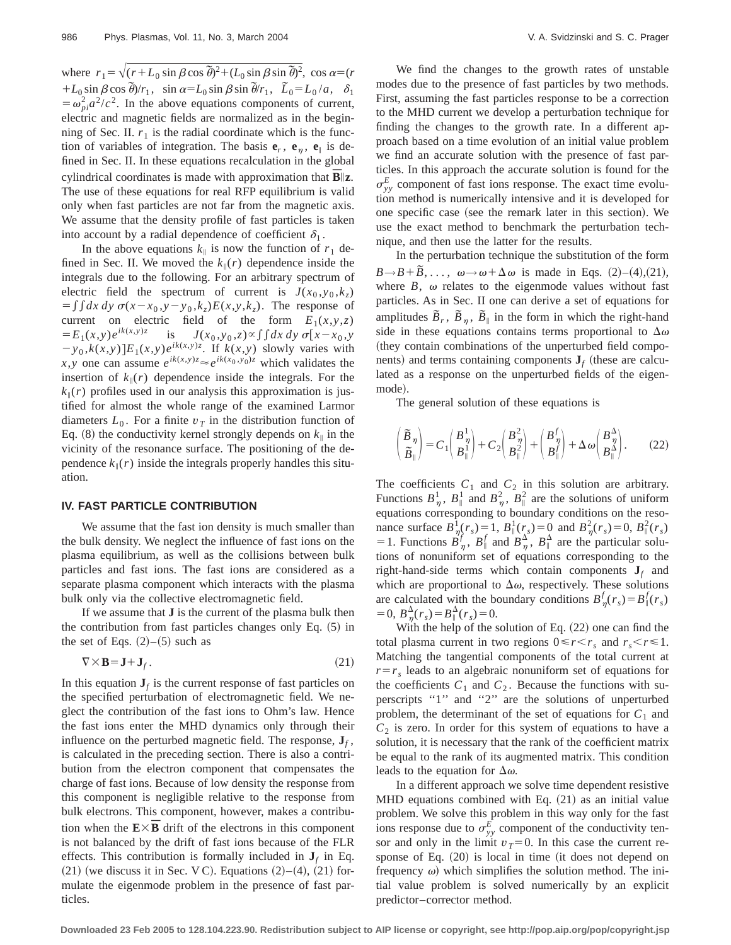where  $r_1 = \sqrt{(r + L_0 \sin \beta \cos \theta)^2 + (L_0 \sin \beta \sin \theta)^2}$ , cos  $\alpha = (r_0 + L_0 \sin \beta \cos \theta)^2$  $+L_0 \sin \beta \cos \theta /r_1$ ,  $\sin \alpha = L_0 \sin \beta \sin \theta /r_1$ ,  $\tilde{L}_0 = L_0/a$ ,  $\delta_1$  $=\omega_p^2 a^2/c^2$ . In the above equations components of current, electric and magnetic fields are normalized as in the beginning of Sec. II.  $r_1$  is the radial coordinate which is the function of variables of integration. The basis  $e_r$ ,  $e_n$ ,  $e_{\parallel}$  is defined in Sec. II. In these equations recalculation in the global cylindrical coordinates is made with approximation that  $\overline{B}||z$ . The use of these equations for real RFP equilibrium is valid only when fast particles are not far from the magnetic axis. We assume that the density profile of fast particles is taken into account by a radial dependence of coefficient  $\delta_1$ .

In the above equations  $k_{\parallel}$  is now the function of  $r_1$  defined in Sec. II. We moved the  $k_{\parallel}(r)$  dependence inside the integrals due to the following. For an arbitrary spectrum of electric field the spectrum of current is  $J(x_0, y_0, k_z)$  $= \iint dx dy \sigma(x-x_0, y-y_0, k_z)E(x, y, k_z)$ . The response of current on electric field of the form  $E_1(x,y,z) = E_1(x,y)e^{ik(x,y)z}$  is  $J(x_0,y_0,z) \propto \int \int dx dy \sigma[x-x_0,y]$ is  $J(x_0, y_0, z) \propto \int \int dx \, dy \, \sigma[x - x_0, y]$  $(y - y_0, k(x, y))E_1(x, y)e^{ik(x, y)z}$ . If  $k(x, y)$  slowly varies with *x*,*y* one can assume  $e^{ik(x,y)z} \approx e^{ik(x_0, y_0)z}$  which validates the insertion of  $k_{\parallel}(r)$  dependence inside the integrals. For the  $k_{\parallel}(r)$  profiles used in our analysis this approximation is justified for almost the whole range of the examined Larmor diameters  $L_0$ . For a finite  $v<sub>T</sub>$  in the distribution function of Eq. (8) the conductivity kernel strongly depends on  $k_{\parallel}$  in the vicinity of the resonance surface. The positioning of the dependence  $k_{\parallel}(r)$  inside the integrals properly handles this situation.

### **IV. FAST PARTICLE CONTRIBUTION**

We assume that the fast ion density is much smaller than the bulk density. We neglect the influence of fast ions on the plasma equilibrium, as well as the collisions between bulk particles and fast ions. The fast ions are considered as a separate plasma component which interacts with the plasma bulk only via the collective electromagnetic field.

If we assume that **J** is the current of the plasma bulk then the contribution from fast particles changes only Eq.  $(5)$  in the set of Eqs.  $(2)$ – $(5)$  such as

$$
\nabla \times \mathbf{B} = \mathbf{J} + \mathbf{J}_f. \tag{21}
$$

In this equation  $J_f$  is the current response of fast particles on the specified perturbation of electromagnetic field. We neglect the contribution of the fast ions to Ohm's law. Hence the fast ions enter the MHD dynamics only through their influence on the perturbed magnetic field. The response,  $J_f$ , is calculated in the preceding section. There is also a contribution from the electron component that compensates the charge of fast ions. Because of low density the response from this component is negligible relative to the response from bulk electrons. This component, however, makes a contribution when the  $\mathbf{E}\times\mathbf{\bar{B}}$  drift of the electrons in this component is not balanced by the drift of fast ions because of the FLR effects. This contribution is formally included in  $J_f$  in Eq.  $(21)$  (we discuss it in Sec. V C). Equations  $(2)–(4)$ ,  $(21)$  formulate the eigenmode problem in the presence of fast particles.

We find the changes to the growth rates of unstable modes due to the presence of fast particles by two methods. First, assuming the fast particles response to be a correction to the MHD current we develop a perturbation technique for finding the changes to the growth rate. In a different approach based on a time evolution of an initial value problem we find an accurate solution with the presence of fast particles. In this approach the accurate solution is found for the  $\sigma_{yy}^E$  component of fast ions response. The exact time evolution method is numerically intensive and it is developed for one specific case (see the remark later in this section). We use the exact method to benchmark the perturbation technique, and then use the latter for the results.

In the perturbation technique the substitution of the form  $B \rightarrow B + \tilde{B}, \ldots, \omega \rightarrow \omega + \Delta \omega$  is made in Eqs. (2)–(4),(21), where  $B$ ,  $\omega$  relates to the eigenmode values without fast particles. As in Sec. II one can derive a set of equations for amplitudes  $\tilde{B}_r$ ,  $\tilde{B}_{\eta}$ ,  $\tilde{B}_{\parallel}$  in the form in which the right-hand side in these equations contains terms proportional to  $\Delta\omega$ (they contain combinations of the unperturbed field components) and terms containing components  $J_f$  (these are calculated as a response on the unperturbed fields of the eigenmode).

The general solution of these equations is

$$
\begin{pmatrix}\n\widetilde{B}_{\eta} \\
\widetilde{B}_{\parallel}\n\end{pmatrix} = C_1 \begin{pmatrix}\nB_{\eta}^1 \\
B_{\parallel}^1\n\end{pmatrix} + C_2 \begin{pmatrix}\nB_{\eta}^2 \\
B_{\parallel}^2\n\end{pmatrix} + \begin{pmatrix}\nB_{\eta}^f \\
B_{\parallel}^f\n\end{pmatrix} + \Delta \omega \begin{pmatrix}\nB_{\eta}^{\Delta} \\
B_{\parallel}^{\Delta}\n\end{pmatrix}.
$$
\n(22)

The coefficients  $C_1$  and  $C_2$  in this solution are arbitrary. Functions  $B_{\eta}^1$ ,  $B_{\parallel}^1$  and  $B_{\eta}^2$ ,  $B_{\parallel}^2$  are the solutions of uniform equations corresponding to boundary conditions on the resonance surface  $B_{\eta}^1(r_s) = 1$ ,  $B_{\parallel}^1(r_s) = 0$  and  $B_{\eta}^2(r_s) = 0$ ,  $B_{\parallel}^2(r_s)$ = 1. Functions  $B_{\eta}^f$ ,  $B_{\parallel}^f$  and  $B_{\eta}^{\Delta}$ ,  $B_{\parallel}^{\Delta}$  are the particular solutions of nonuniform set of equations corresponding to the right-hand-side terms which contain components  $J_f$  and which are proportional to  $\Delta\omega$ , respectively. These solutions are calculated with the boundary conditions  $B_{\eta}^{f}(r_s) = B_{\parallel}^{f}(r_s)$  $= 0, B_{\eta}^{\Delta}(r_s) = B_{\parallel}^{\Delta}(r_s) = 0.$ 

With the help of the solution of Eq.  $(22)$  one can find the total plasma current in two regions  $0 \le r \le r_s$  and  $r_s \le r \le 1$ . Matching the tangential components of the total current at  $r=r<sub>s</sub>$  leads to an algebraic nonuniform set of equations for the coefficients  $C_1$  and  $C_2$ . Because the functions with superscripts "1" and "2" are the solutions of unperturbed problem, the determinant of the set of equations for  $C_1$  and  $C_2$  is zero. In order for this system of equations to have a solution, it is necessary that the rank of the coefficient matrix be equal to the rank of its augmented matrix. This condition leads to the equation for  $\Delta\omega$ .

In a different approach we solve time dependent resistive MHD equations combined with Eq.  $(21)$  as an initial value problem. We solve this problem in this way only for the fast ions response due to  $\sigma_{yy}^E$  component of the conductivity tensor and only in the limit  $v_T=0$ . In this case the current response of Eq.  $(20)$  is local in time (it does not depend on frequency  $\omega$ ) which simplifies the solution method. The initial value problem is solved numerically by an explicit predictor–corrector method.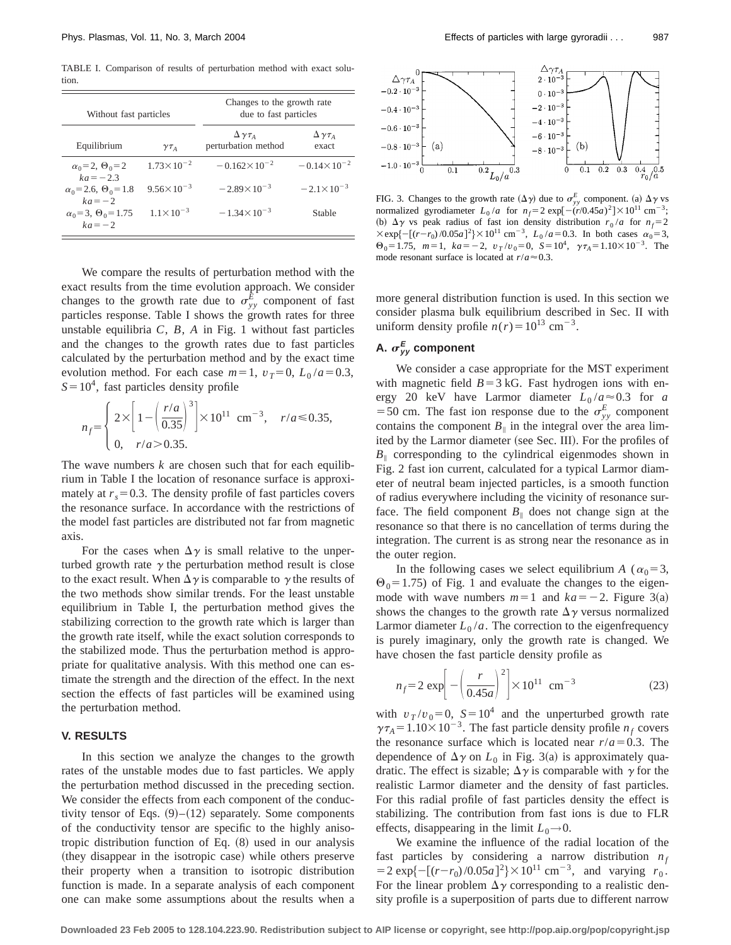TABLE I. Comparison of results of perturbation method with exact solution.

| Without fast particles                          |                       | Changes to the growth rate<br>due to fast particles |                                 |
|-------------------------------------------------|-----------------------|-----------------------------------------------------|---------------------------------|
| Equilibrium                                     | $\gamma \tau_A$       | $\Delta \gamma \tau_A$<br>perturbation method       | $\Delta \gamma \tau_A$<br>exact |
| $\alpha_0 = 2, \ \Theta_0 = 2$<br>$ka = -2.3$   | $1.73 \times 10^{-2}$ | $-0.162\times10^{-2}$                               | $-0.14 \times 10^{-2}$          |
| $\alpha_0$ = 2.6, $\Theta_0$ = 1.8<br>$ka=-2$   | $9.56 \times 10^{-3}$ | $-2.89\times10^{-3}$                                | $-2.1\times10^{-3}$             |
| $\alpha_0 = 3$ , $\Theta_0 = 1.75$<br>$ka = -2$ | $1.1 \times 10^{-3}$  | $-1.34 \times 10^{-3}$                              | Stable                          |

We compare the results of perturbation method with the exact results from the time evolution approach. We consider changes to the growth rate due to  $\sigma_{yy}^E$  component of fast particles response. Table I shows the growth rates for three unstable equilibria *C*, *B*, *A* in Fig. 1 without fast particles and the changes to the growth rates due to fast particles calculated by the perturbation method and by the exact time evolution method. For each case  $m=1$ ,  $v_T=0$ ,  $L_0/a=0.3$ ,  $S=10^4$ , fast particles density profile

$$
n_f = \begin{cases} 2 \times \left[ 1 - \left( \frac{r/a}{0.35} \right)^3 \right] \times 10^{11} \text{ cm}^{-3}, & r/a \le 0.35, \\ 0, & r/a > 0.35. \end{cases}
$$

The wave numbers *k* are chosen such that for each equilibrium in Table I the location of resonance surface is approximately at  $r_s = 0.3$ . The density profile of fast particles covers the resonance surface. In accordance with the restrictions of the model fast particles are distributed not far from magnetic axis.

For the cases when  $\Delta \gamma$  is small relative to the unperturbed growth rate  $\gamma$  the perturbation method result is close to the exact result. When  $\Delta \gamma$  is comparable to  $\gamma$  the results of the two methods show similar trends. For the least unstable equilibrium in Table I, the perturbation method gives the stabilizing correction to the growth rate which is larger than the growth rate itself, while the exact solution corresponds to the stabilized mode. Thus the perturbation method is appropriate for qualitative analysis. With this method one can estimate the strength and the direction of the effect. In the next section the effects of fast particles will be examined using the perturbation method.

### **V. RESULTS**

In this section we analyze the changes to the growth rates of the unstable modes due to fast particles. We apply the perturbation method discussed in the preceding section. We consider the effects from each component of the conductivity tensor of Eqs.  $(9)$ – $(12)$  separately. Some components of the conductivity tensor are specific to the highly anisotropic distribution function of Eq.  $(8)$  used in our analysis (they disappear in the isotropic case) while others preserve their property when a transition to isotropic distribution function is made. In a separate analysis of each component one can make some assumptions about the results when a



FIG. 3. Changes to the growth rate  $(\Delta \gamma)$  due to  $\sigma_{yy}^E$  component. (a)  $\Delta \gamma$  vs normalized gyrodiameter  $L_0/a$  for  $n_f=2 \exp[-(\dot{r}/0.45a)^2] \times 10^{11} \text{ cm}^{-3}$ ; (b)  $\Delta \gamma$  vs peak radius of fast ion density distribution  $r_0/a$  for  $n_f=2$  $\times$ exp{ $-[ (r-r_0)/0.05a ]^2$ } $\times$ 10<sup>11</sup> cm<sup>-3</sup>,  $L_0/a = 0.3$ . In both cases  $\alpha_0 = 3$ ,  $\Theta_0 = 1.75$ ,  $m=1$ ,  $ka=-2$ ,  $v_T/v_0=0$ ,  $S=10^4$ ,  $\gamma \tau_A = 1.10 \times 10^{-3}$ . The mode resonant surface is located at  $r/a \approx 0.3$ .

more general distribution function is used. In this section we consider plasma bulk equilibrium described in Sec. II with uniform density profile  $n(r) = 10^{13}$  cm<sup>-3</sup>.

## A.  $\sigma_{yy}^E$  component

We consider a case appropriate for the MST experiment with magnetic field  $B=3$  kG. Fast hydrogen ions with energy 20 keV have Larmor diameter  $L_0/a \approx 0.3$  for *a* =50 cm. The fast ion response due to the  $\sigma_{yy}^E$  component contains the component  $B_{\parallel}$  in the integral over the area limited by the Larmor diameter (see Sec. III). For the profiles of  $B_{\parallel}$  corresponding to the cylindrical eigenmodes shown in Fig. 2 fast ion current, calculated for a typical Larmor diameter of neutral beam injected particles, is a smooth function of radius everywhere including the vicinity of resonance surface. The field component  $B_{\parallel}$  does not change sign at the resonance so that there is no cancellation of terms during the integration. The current is as strong near the resonance as in the outer region.

In the following cases we select equilibrium *A* ( $\alpha_0$ =3,  $\Theta_0$ = 1.75) of Fig. 1 and evaluate the changes to the eigenmode with wave numbers  $m=1$  and  $ka=-2$ . Figure 3(a) shows the changes to the growth rate  $\Delta \gamma$  versus normalized Larmor diameter  $L_0/a$ . The correction to the eigenfrequency is purely imaginary, only the growth rate is changed. We have chosen the fast particle density profile as

$$
n_f = 2 \exp\left[-\left(\frac{r}{0.45a}\right)^2\right] \times 10^{11} \text{ cm}^{-3} \tag{23}
$$

with  $v_T/v_0=0$ ,  $S=10^4$  and the unperturbed growth rate  $\gamma \tau_A = 1.10 \times 10^{-3}$ . The fast particle density profile  $n_f$  covers the resonance surface which is located near  $r/a = 0.3$ . The dependence of  $\Delta \gamma$  on  $L_0$  in Fig. 3(a) is approximately quadratic. The effect is sizable;  $\Delta \gamma$  is comparable with  $\gamma$  for the realistic Larmor diameter and the density of fast particles. For this radial profile of fast particles density the effect is stabilizing. The contribution from fast ions is due to FLR effects, disappearing in the limit  $L_0 \rightarrow 0$ .

We examine the influence of the radial location of the fast particles by considering a narrow distribution  $n_f$  $= 2 \exp\{-[(r-r_0)/0.05a]^2\} \times 10^{11} \text{ cm}^{-3}, \text{ and varying } r_0.$ For the linear problem  $\Delta \gamma$  corresponding to a realistic density profile is a superposition of parts due to different narrow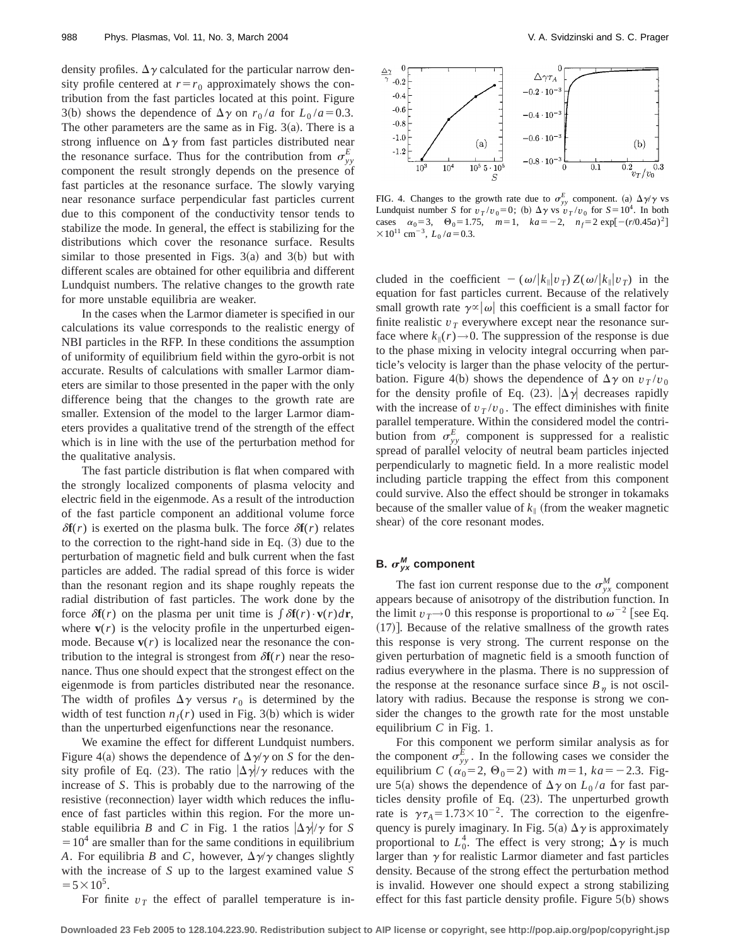density profiles.  $\Delta \gamma$  calculated for the particular narrow density profile centered at  $r=r_0$  approximately shows the contribution from the fast particles located at this point. Figure 3(b) shows the dependence of  $\Delta \gamma$  on  $r_0/a$  for  $L_0/a = 0.3$ . The other parameters are the same as in Fig.  $3(a)$ . There is a strong influence on  $\Delta \gamma$  from fast particles distributed near the resonance surface. Thus for the contribution from  $\sigma_{yy}^E$ component the result strongly depends on the presence of fast particles at the resonance surface. The slowly varying near resonance surface perpendicular fast particles current due to this component of the conductivity tensor tends to stabilize the mode. In general, the effect is stabilizing for the distributions which cover the resonance surface. Results similar to those presented in Figs.  $3(a)$  and  $3(b)$  but with different scales are obtained for other equilibria and different Lundquist numbers. The relative changes to the growth rate for more unstable equilibria are weaker.

In the cases when the Larmor diameter is specified in our calculations its value corresponds to the realistic energy of NBI particles in the RFP. In these conditions the assumption of uniformity of equilibrium field within the gyro-orbit is not accurate. Results of calculations with smaller Larmor diameters are similar to those presented in the paper with the only difference being that the changes to the growth rate are smaller. Extension of the model to the larger Larmor diameters provides a qualitative trend of the strength of the effect which is in line with the use of the perturbation method for the qualitative analysis.

The fast particle distribution is flat when compared with the strongly localized components of plasma velocity and electric field in the eigenmode. As a result of the introduction of the fast particle component an additional volume force  $\delta f(r)$  is exerted on the plasma bulk. The force  $\delta f(r)$  relates to the correction to the right-hand side in Eq.  $(3)$  due to the perturbation of magnetic field and bulk current when the fast particles are added. The radial spread of this force is wider than the resonant region and its shape roughly repeats the radial distribution of fast particles. The work done by the force  $\delta \mathbf{f}(r)$  on the plasma per unit time is  $\int \delta \mathbf{f}(r) \cdot \mathbf{v}(r) dr$ , where  $\mathbf{v}(r)$  is the velocity profile in the unperturbed eigenmode. Because  $\mathbf{v}(r)$  is localized near the resonance the contribution to the integral is strongest from  $\delta f(r)$  near the resonance. Thus one should expect that the strongest effect on the eigenmode is from particles distributed near the resonance. The width of profiles  $\Delta \gamma$  versus  $r_0$  is determined by the width of test function  $n_f(r)$  used in Fig. 3(b) which is wider than the unperturbed eigenfunctions near the resonance.

We examine the effect for different Lundquist numbers. Figure 4(a) shows the dependence of  $\Delta \gamma / \gamma$  on *S* for the density profile of Eq. (23). The ratio  $|\Delta \gamma|/\gamma$  reduces with the increase of *S*. This is probably due to the narrowing of the resistive (reconnection) layer width which reduces the influence of fast particles within this region. For the more unstable equilibria *B* and *C* in Fig. 1 the ratios  $|\Delta \gamma|/\gamma$  for *S*  $=10<sup>4</sup>$  are smaller than for the same conditions in equilibrium *A*. For equilibria *B* and *C*, however,  $\Delta \gamma / \gamma$  changes slightly with the increase of *S* up to the largest examined value *S*  $=$  5  $\times$  10<sup>5</sup>.

For finite  $v_T$  the effect of parallel temperature is in-



FIG. 4. Changes to the growth rate due to  $\sigma_{yy}^E$  component. (a)  $\Delta \gamma / \gamma$  vs Lundquist number *S* for  $v_T/v_0=0$ ; (b)  $\Delta \gamma$  vs  $v_T/v_0$  for  $S=10^4$ . In both cases  $\alpha_0 = 3$ ,  $\Theta_0 = 1.75$ ,  $m = 1$ ,  $ka = -2$ ,  $n_f = 2 \exp[-(r/0.45a)^2]$  $\times 10^{11}$  cm<sup>-3</sup>,  $L_0/a = 0.3$ .

cluded in the coefficient  $-(\omega/|k_{\parallel}|v_T) Z(\omega/|k_{\parallel}|v_T)$  in the equation for fast particles current. Because of the relatively small growth rate  $\gamma \propto |\omega|$  this coefficient is a small factor for finite realistic  $v_T$  everywhere except near the resonance surface where  $k_{\parallel}(r) \rightarrow 0$ . The suppression of the response is due to the phase mixing in velocity integral occurring when particle's velocity is larger than the phase velocity of the perturbation. Figure 4(b) shows the dependence of  $\Delta \gamma$  on  $v_T/v_0$ for the density profile of Eq. (23).  $|\Delta \gamma|$  decreases rapidly with the increase of  $v_T/v_0$ . The effect diminishes with finite parallel temperature. Within the considered model the contribution from  $\sigma_{yy}^E$  component is suppressed for a realistic spread of parallel velocity of neutral beam particles injected perpendicularly to magnetic field. In a more realistic model including particle trapping the effect from this component could survive. Also the effect should be stronger in tokamaks because of the smaller value of  $k_{\parallel}$  (from the weaker magnetic shear) of the core resonant modes.

## **B.**  $\sigma_{yx}^M$  component

The fast ion current response due to the  $\sigma_{yx}^M$  component appears because of anisotropy of the distribution function. In the limit  $v_T \rightarrow 0$  this response is proportional to  $\omega^{-2}$  [see Eq.  $(17)$ ]. Because of the relative smallness of the growth rates this response is very strong. The current response on the given perturbation of magnetic field is a smooth function of radius everywhere in the plasma. There is no suppression of the response at the resonance surface since  $B_n$  is not oscillatory with radius. Because the response is strong we consider the changes to the growth rate for the most unstable equilibrium *C* in Fig. 1.

For this component we perform similar analysis as for the component  $\sigma_{yy}^E$ . In the following cases we consider the equilibrium *C* ( $\alpha_0$ =2,  $\Theta_0$ =2) with *m*=1, *ka*=-2.3. Figure 5(a) shows the dependence of  $\Delta \gamma$  on  $L_0/a$  for fast particles density profile of Eq.  $(23)$ . The unperturbed growth rate is  $\gamma \tau_A = 1.73 \times 10^{-2}$ . The correction to the eigenfrequency is purely imaginary. In Fig. 5(a)  $\Delta \gamma$  is approximately proportional to  $L_0^4$ . The effect is very strong;  $\Delta \gamma$  is much larger than  $\gamma$  for realistic Larmor diameter and fast particles density. Because of the strong effect the perturbation method is invalid. However one should expect a strong stabilizing effect for this fast particle density profile. Figure  $5(b)$  shows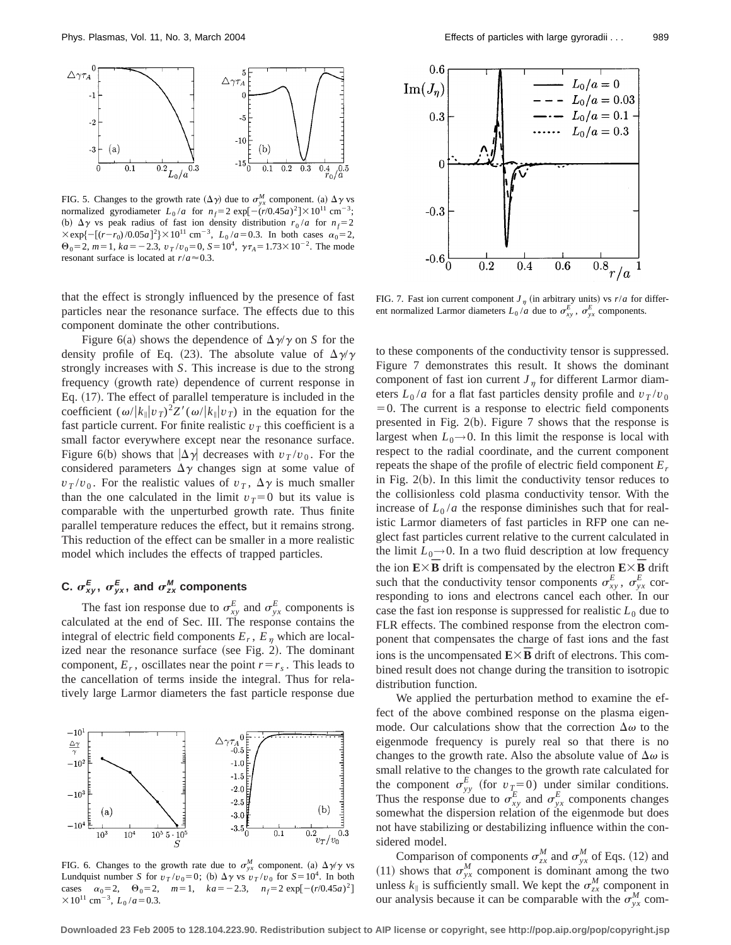

FIG. 5. Changes to the growth rate  $(\Delta \gamma)$  due to  $\sigma_{yx}^M$  component. (a)  $\Delta \gamma$  vs normalized gyrodiameter  $L_0/a$  for  $n_f=2 \exp[-(r/0.45a)^2] \times 10^{11} \text{ cm}^{-3}$ ; (b)  $\Delta \gamma$  vs peak radius of fast ion density distribution  $r_0/a$  for  $n_f=2$  $\times$ exp{ $-[ (r-r_0)/0.05a ]^2$ } $\times 10^{11}$  cm<sup>-3</sup>,  $L_0/a = 0.3$ . In both cases  $\alpha_0 = 2$ ,  $\Theta_0$ =2, *m*=1, *ka* = -2.3,  $v_T/v_0$ =0, *S*=10<sup>4</sup>,  $\gamma \tau_A$ =1.73×10<sup>-2</sup>. The mode resonant surface is located at  $r/a \approx 0.3$ .

that the effect is strongly influenced by the presence of fast particles near the resonance surface. The effects due to this component dominate the other contributions.

Figure 6(a) shows the dependence of  $\Delta \gamma / \gamma$  on *S* for the density profile of Eq. (23). The absolute value of  $\Delta \gamma / \gamma$ strongly increases with *S*. This increase is due to the strong frequency (growth rate) dependence of current response in Eq.  $(17)$ . The effect of parallel temperature is included in the coefficient  $(\omega/|k_{\parallel}v_T)^2Z'(\omega/|k_{\parallel}v_T)$  in the equation for the fast particle current. For finite realistic  $v<sub>T</sub>$  this coefficient is a small factor everywhere except near the resonance surface. Figure 6(b) shows that  $|\Delta \gamma|$  decreases with  $v_T/v_0$ . For the considered parameters  $\Delta \gamma$  changes sign at some value of  $v_T/v_0$ . For the realistic values of  $v_T$ ,  $\Delta \gamma$  is much smaller than the one calculated in the limit  $v_T=0$  but its value is comparable with the unperturbed growth rate. Thus finite parallel temperature reduces the effect, but it remains strong. This reduction of the effect can be smaller in a more realistic model which includes the effects of trapped particles.

# **C.**  $\sigma_{xy}^E$ ,  $\sigma_{yx}^E$ , and  $\sigma_{zx}^M$  components

The fast ion response due to  $\sigma_{xy}^E$  and  $\sigma_{yx}^E$  components is calculated at the end of Sec. III. The response contains the integral of electric field components  $E_r$ ,  $E_n$  which are localized near the resonance surface (see Fig. 2). The dominant component,  $E_r$ , oscillates near the point  $r=r_s$ . This leads to the cancellation of terms inside the integral. Thus for relatively large Larmor diameters the fast particle response due



FIG. 6. Changes to the growth rate due to  $\sigma_{yx}^M$  component. (a)  $\Delta \gamma / \gamma$  vs Lundquist number *S* for  $v_T/v_0=0$ ; (b)  $\Delta \gamma$  vs  $v_T/v_0$  for  $S=10^4$ . In both cases  $\alpha_0 = 2$ ,  $\Theta_0 = 2$ ,  $m = 1$ ,  $ka = -2.3$ ,  $n_f = 2 \exp[-(r/0.45a)^2]$  $\times 10^{11}$  cm<sup>-3</sup>,  $L_0/a = 0.3$ .

 $0.6$ 

 $0.3$ 

 $-0.3$ 

 $-0.6$ 

 $\text{Im}(J_n)$ 



 $0.6$ 

 $_{0.8}$ 

FIG. 7. Fast ion current component  $J_n$  (in arbitrary units) vs  $r/a$  for different normalized Larmor diameters  $L_0/a$  due to  $\sigma_{xy}^E$ ,  $\sigma_{yx}^E$  components.

 $0.4$ 

 $0.2$ 

to these components of the conductivity tensor is suppressed. Figure 7 demonstrates this result. It shows the dominant component of fast ion current  $J_n$  for different Larmor diameters  $L_0/a$  for a flat fast particles density profile and  $v_T/v_0$  $=0$ . The current is a response to electric field components presented in Fig.  $2(b)$ . Figure 7 shows that the response is largest when  $L_0 \rightarrow 0$ . In this limit the response is local with respect to the radial coordinate, and the current component repeats the shape of the profile of electric field component *Er* in Fig.  $2(b)$ . In this limit the conductivity tensor reduces to the collisionless cold plasma conductivity tensor. With the increase of  $L_0/a$  the response diminishes such that for realistic Larmor diameters of fast particles in RFP one can neglect fast particles current relative to the current calculated in the limit  $L_0 \rightarrow 0$ . In a two fluid description at low frequency the ion  $E \times B$  drift is compensated by the electron  $E \times B$  drift such that the conductivity tensor components  $\sigma_{xy}^E$ ,  $\sigma_{yx}^E$  corresponding to ions and electrons cancel each other. In our case the fast ion response is suppressed for realistic  $L_0$  due to FLR effects. The combined response from the electron component that compensates the charge of fast ions and the fast ions is the uncompensated  $\mathbf{E}\times\mathbf{\bar{B}}$  drift of electrons. This combined result does not change during the transition to isotropic distribution function.

We applied the perturbation method to examine the effect of the above combined response on the plasma eigenmode. Our calculations show that the correction  $\Delta\omega$  to the eigenmode frequency is purely real so that there is no changes to the growth rate. Also the absolute value of  $\Delta\omega$  is small relative to the changes to the growth rate calculated for the component  $\sigma_{yy}^E$  (for  $v_T=0$ ) under similar conditions. Thus the response due to  $\sigma_{xy}^E$  and  $\sigma_{yx}^E$  components changes somewhat the dispersion relation of the eigenmode but does not have stabilizing or destabilizing influence within the considered model.

Comparison of components  $\sigma_{zx}^M$  and  $\sigma_{yx}^M$  of Eqs. (12) and (11) shows that  $\sigma_{yx}^M$  component is dominant among the two unless  $k_{\parallel}$  is sufficiently small. We kept the  $\sigma_{zx}^M$  component in our analysis because it can be comparable with the  $\sigma_{yx}^M$  com-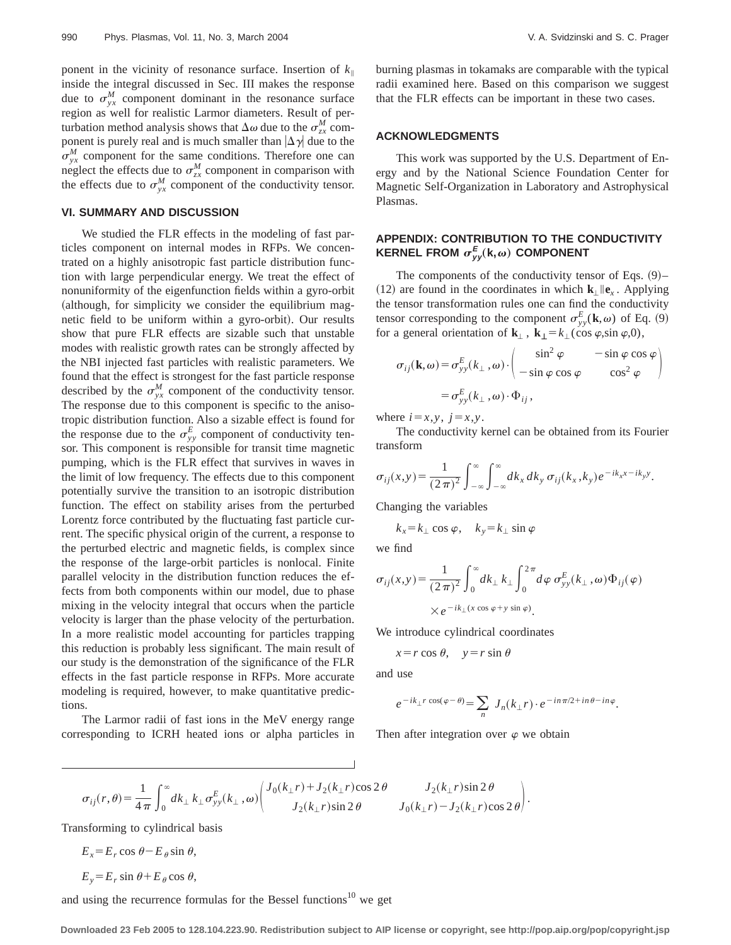ponent in the vicinity of resonance surface. Insertion of  $k_{\parallel}$ inside the integral discussed in Sec. III makes the response due to  $\sigma_{yx}^M$  component dominant in the resonance surface region as well for realistic Larmor diameters. Result of perturbation method analysis shows that  $\Delta \omega$  due to the  $\sigma_{zx}^M$  component is purely real and is much smaller than  $|\Delta \gamma|$  due to the  $\sigma_{yx}^M$  component for the same conditions. Therefore one can neglect the effects due to  $\sigma_{zx}^M$  component in comparison with the effects due to  $\sigma_{yx}^M$  component of the conductivity tensor.

### **VI. SUMMARY AND DISCUSSION**

We studied the FLR effects in the modeling of fast particles component on internal modes in RFPs. We concentrated on a highly anisotropic fast particle distribution function with large perpendicular energy. We treat the effect of nonuniformity of the eigenfunction fields within a gyro-orbit  $\alpha$  (although, for simplicity we consider the equilibrium magnetic field to be uniform within a gyro-orbit). Our results show that pure FLR effects are sizable such that unstable modes with realistic growth rates can be strongly affected by the NBI injected fast particles with realistic parameters. We found that the effect is strongest for the fast particle response described by the  $\sigma_{yx}^M$  component of the conductivity tensor. The response due to this component is specific to the anisotropic distribution function. Also a sizable effect is found for the response due to the  $\sigma_{yy}^E$  component of conductivity tensor. This component is responsible for transit time magnetic pumping, which is the FLR effect that survives in waves in the limit of low frequency. The effects due to this component potentially survive the transition to an isotropic distribution function. The effect on stability arises from the perturbed Lorentz force contributed by the fluctuating fast particle current. The specific physical origin of the current, a response to the perturbed electric and magnetic fields, is complex since the response of the large-orbit particles is nonlocal. Finite parallel velocity in the distribution function reduces the effects from both components within our model, due to phase mixing in the velocity integral that occurs when the particle velocity is larger than the phase velocity of the perturbation. In a more realistic model accounting for particles trapping this reduction is probably less significant. The main result of our study is the demonstration of the significance of the FLR effects in the fast particle response in RFPs. More accurate modeling is required, however, to make quantitative predictions.

The Larmor radii of fast ions in the MeV energy range corresponding to ICRH heated ions or alpha particles in burning plasmas in tokamaks are comparable with the typical radii examined here. Based on this comparison we suggest that the FLR effects can be important in these two cases.

#### **ACKNOWLEDGMENTS**

This work was supported by the U.S. Department of Energy and by the National Science Foundation Center for Magnetic Self-Organization in Laboratory and Astrophysical Plasmas.

### **APPENDIX: CONTRIBUTION TO THE CONDUCTIVITY**  $\mathsf{KERNEL}$  FROM  $\sigma_{yy}^E(\mathsf{k},\omega)$  COMPONENT

The components of the conductivity tensor of Eqs.  $(9)$ –  $(12)$  are found in the coordinates in which  $\mathbf{k}_{\perp}$   $\|\mathbf{e}_{\nu}\|$ . Applying the tensor transformation rules one can find the conductivity tensor corresponding to the component  $\sigma_{yy}^E(\mathbf{k},\omega)$  of Eq. (9) for a general orientation of  $\mathbf{k}_{\perp}$ ,  $\mathbf{k}_{\perp} = k_{\perp}(\cos \varphi, \sin \varphi, 0)$ ,

$$
\sigma_{ij}(\mathbf{k}, \omega) = \sigma_{yy}^{E}(k_{\perp}, \omega) \cdot \begin{pmatrix} \sin^{2} \varphi & -\sin \varphi \cos \varphi \\ -\sin \varphi \cos \varphi & \cos^{2} \varphi \end{pmatrix}
$$

$$
= \sigma_{yy}^{E}(k_{\perp}, \omega) \cdot \Phi_{ij},
$$

where  $i=x,y, j=x,y$ .

The conductivity kernel can be obtained from its Fourier transform

$$
\sigma_{ij}(x,y) = \frac{1}{(2\pi)^2} \int_{-\infty}^{\infty} \int_{-\infty}^{\infty} dk_x dk_y \sigma_{ij}(k_x,k_y) e^{-ik_x x - ik_y y}.
$$

Changing the variables

$$
k_x = k_\perp \cos \varphi, \quad k_y = k_\perp \sin \varphi
$$

we find

$$
\sigma_{ij}(x,y) = \frac{1}{(2\pi)^2} \int_0^\infty dk_\perp k_\perp \int_0^{2\pi} d\varphi \, \sigma_{yy}^E(k_\perp,\omega) \Phi_{ij}(\varphi)
$$

$$
\times e^{-ik_\perp(x\cos\varphi + y\sin\varphi)}.
$$

We introduce cylindrical coordinates

$$
x = r \cos \theta
$$
,  $y = r \sin \theta$ 

and use

$$
e^{-ik_{\perp}r\cos(\varphi-\theta)}=\sum_{n}J_{n}(k_{\perp}r)\cdot e^{-in\pi/2+in\theta-in\varphi}.
$$

Then after integration over  $\varphi$  we obtain

$$
\sigma_{ij}(r,\theta) = \frac{1}{4\pi} \int_0^{\infty} dk_{\perp} k_{\perp} \sigma_{yy}^E(k_{\perp},\omega) \begin{pmatrix} J_0(k_{\perp}r) + J_2(k_{\perp}r)\cos 2\theta & J_2(k_{\perp}r)\sin 2\theta \\ J_2(k_{\perp}r)\sin 2\theta & J_0(k_{\perp}r) - J_2(k_{\perp}r)\cos 2\theta \end{pmatrix}.
$$

Transforming to cylindrical basis

$$
E_x = E_r \cos \theta - E_\theta \sin \theta,
$$
  

$$
E_y = E_r \sin \theta + E_\theta \cos \theta,
$$

and using the recurrence formulas for the Bessel functions<sup>10</sup> we get